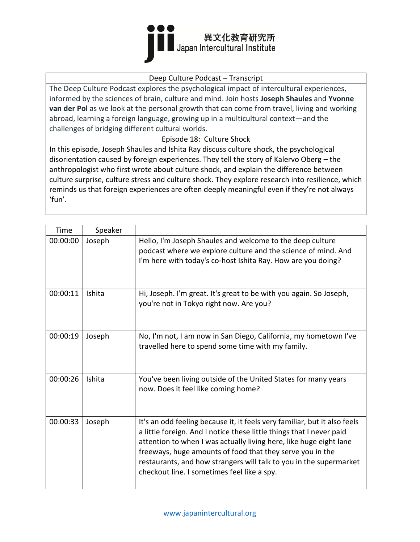

#### Deep Culture Podcast – Transcript

The Deep Culture Podcast explores the psychological impact of intercultural experiences, informed by the sciences of brain, culture and mind. Join hosts **Joseph Shaules** and **Yvonne van der Pol** as we look at the personal growth that can come from travel, living and working abroad, learning a foreign language, growing up in a multicultural context—and the challenges of bridging different cultural worlds.

Episode 18: Culture Shock

In this episode, Joseph Shaules and Ishita Ray discuss culture shock, the psychological disorientation caused by foreign experiences. They tell the story of Kalervo Oberg – the anthropologist who first wrote about culture shock, and explain the difference between culture surprise, culture stress and culture shock. They explore research into resilience, which reminds us that foreign experiences are often deeply meaningful even if they're not always 'fun'.

| Time     | Speaker |                                                                                                                                                                                                                                                                                                                                                                                                           |
|----------|---------|-----------------------------------------------------------------------------------------------------------------------------------------------------------------------------------------------------------------------------------------------------------------------------------------------------------------------------------------------------------------------------------------------------------|
| 00:00:00 | Joseph  | Hello, I'm Joseph Shaules and welcome to the deep culture<br>podcast where we explore culture and the science of mind. And<br>I'm here with today's co-host Ishita Ray. How are you doing?                                                                                                                                                                                                                |
| 00:00:11 | Ishita  | Hi, Joseph. I'm great. It's great to be with you again. So Joseph,<br>you're not in Tokyo right now. Are you?                                                                                                                                                                                                                                                                                             |
| 00:00:19 | Joseph  | No, I'm not, I am now in San Diego, California, my hometown I've<br>travelled here to spend some time with my family.                                                                                                                                                                                                                                                                                     |
| 00:00:26 | Ishita  | You've been living outside of the United States for many years<br>now. Does it feel like coming home?                                                                                                                                                                                                                                                                                                     |
| 00:00:33 | Joseph  | It's an odd feeling because it, it feels very familiar, but it also feels<br>a little foreign. And I notice these little things that I never paid<br>attention to when I was actually living here, like huge eight lane<br>freeways, huge amounts of food that they serve you in the<br>restaurants, and how strangers will talk to you in the supermarket<br>checkout line. I sometimes feel like a spy. |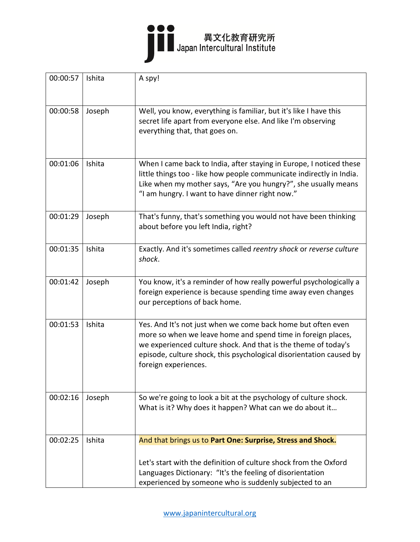

| 00:00:57 | Ishita | A spy!                                                                                                                                                                                                                                                                                        |
|----------|--------|-----------------------------------------------------------------------------------------------------------------------------------------------------------------------------------------------------------------------------------------------------------------------------------------------|
| 00:00:58 | Joseph | Well, you know, everything is familiar, but it's like I have this<br>secret life apart from everyone else. And like I'm observing<br>everything that, that goes on.                                                                                                                           |
| 00:01:06 | Ishita | When I came back to India, after staying in Europe, I noticed these<br>little things too - like how people communicate indirectly in India.<br>Like when my mother says, "Are you hungry?", she usually means<br>"I am hungry. I want to have dinner right now."                              |
| 00:01:29 | Joseph | That's funny, that's something you would not have been thinking<br>about before you left India, right?                                                                                                                                                                                        |
| 00:01:35 | Ishita | Exactly. And it's sometimes called reentry shock or reverse culture<br>shock.                                                                                                                                                                                                                 |
| 00:01:42 | Joseph | You know, it's a reminder of how really powerful psychologically a<br>foreign experience is because spending time away even changes<br>our perceptions of back home.                                                                                                                          |
| 00:01:53 | Ishita | Yes. And It's not just when we come back home but often even<br>more so when we leave home and spend time in foreign places,<br>we experienced culture shock. And that is the theme of today's<br>episode, culture shock, this psychological disorientation caused by<br>foreign experiences. |
| 00:02:16 | Joseph | So we're going to look a bit at the psychology of culture shock.<br>What is it? Why does it happen? What can we do about it                                                                                                                                                                   |
| 00:02:25 | Ishita | And that brings us to Part One: Surprise, Stress and Shock.<br>Let's start with the definition of culture shock from the Oxford<br>Languages Dictionary: "It's the feeling of disorientation<br>experienced by someone who is suddenly subjected to an                                        |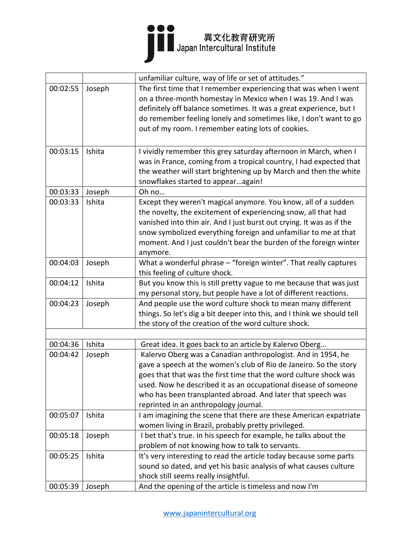

|          |        | unfamiliar culture, way of life or set of attitudes."                                                                                                                                                                                                                                                                                                                             |
|----------|--------|-----------------------------------------------------------------------------------------------------------------------------------------------------------------------------------------------------------------------------------------------------------------------------------------------------------------------------------------------------------------------------------|
| 00:02:55 | Joseph | The first time that I remember experiencing that was when I went<br>on a three-month homestay in Mexico when I was 19. And I was<br>definitely off balance sometimes. It was a great experience, but I<br>do remember feeling lonely and sometimes like, I don't want to go<br>out of my room. I remember eating lots of cookies.                                                 |
| 00:03:15 | Ishita | I vividly remember this grey saturday afternoon in March, when I<br>was in France, coming from a tropical country, I had expected that<br>the weather will start brightening up by March and then the white<br>snowflakes started to appearagain!                                                                                                                                 |
| 00:03:33 | Joseph | Oh no                                                                                                                                                                                                                                                                                                                                                                             |
| 00:03:33 | Ishita | Except they weren't magical anymore. You know, all of a sudden<br>the novelty, the excitement of experiencing snow, all that had<br>vanished into thin air. And I just burst out crying. It was as if the<br>snow symbolized everything foreign and unfamiliar to me at that<br>moment. And I just couldn't bear the burden of the foreign winter<br>anymore.                     |
| 00:04:03 | Joseph | What a wonderful phrase - "foreign winter". That really captures<br>this feeling of culture shock.                                                                                                                                                                                                                                                                                |
| 00:04:12 | Ishita | But you know this is still pretty vague to me because that was just<br>my personal story, but people have a lot of different reactions.                                                                                                                                                                                                                                           |
| 00:04:23 | Joseph | And people use the word culture shock to mean many different<br>things. So let's dig a bit deeper into this, and I think we should tell<br>the story of the creation of the word culture shock.                                                                                                                                                                                   |
|          |        |                                                                                                                                                                                                                                                                                                                                                                                   |
| 00:04:36 | Ishita | Great idea. It goes back to an article by Kalervo Oberg                                                                                                                                                                                                                                                                                                                           |
| 00:04:42 | Joseph | Kalervo Oberg was a Canadian anthropologist. And in 1954, he<br>gave a speech at the women's club of Rio de Janeiro. So the story<br>goes that that was the first time that the word culture shock was<br>used. Now he described it as an occupational disease of someone<br>who has been transplanted abroad. And later that speech was<br>reprinted in an anthropology journal. |
| 00:05:07 | Ishita | I am imagining the scene that there are these American expatriate<br>women living in Brazil, probably pretty privileged.                                                                                                                                                                                                                                                          |
| 00:05:18 | Joseph | I bet that's true. In his speech for example, he talks about the<br>problem of not knowing how to talk to servants.                                                                                                                                                                                                                                                               |
| 00:05:25 | Ishita | It's very interesting to read the article today because some parts<br>sound so dated, and yet his basic analysis of what causes culture<br>shock still seems really insightful.                                                                                                                                                                                                   |
| 00:05:39 | Joseph | And the opening of the article is timeless and now I'm                                                                                                                                                                                                                                                                                                                            |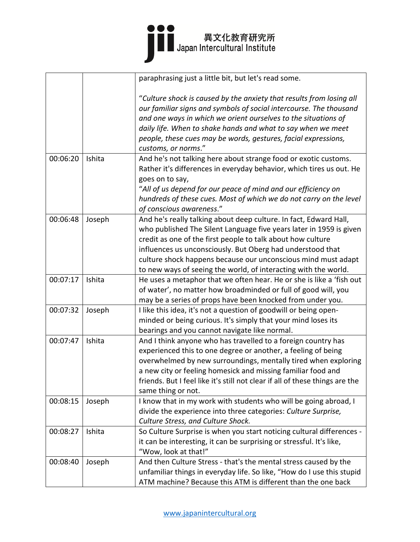|          |        | paraphrasing just a little bit, but let's read some.                                                                                                                                                                                                                                                                                                                                                      |
|----------|--------|-----------------------------------------------------------------------------------------------------------------------------------------------------------------------------------------------------------------------------------------------------------------------------------------------------------------------------------------------------------------------------------------------------------|
|          |        | "Culture shock is caused by the anxiety that results from losing all<br>our familiar signs and symbols of social intercourse. The thousand<br>and one ways in which we orient ourselves to the situations of<br>daily life. When to shake hands and what to say when we meet<br>people, these cues may be words, gestures, facial expressions,<br>customs, or norms."                                     |
| 00:06:20 | Ishita | And he's not talking here about strange food or exotic customs.<br>Rather it's differences in everyday behavior, which tires us out. He<br>goes on to say,<br>"All of us depend for our peace of mind and our efficiency on<br>hundreds of these cues. Most of which we do not carry on the level<br>of conscious awareness."                                                                             |
| 00:06:48 | Joseph | And he's really talking about deep culture. In fact, Edward Hall,<br>who published The Silent Language five years later in 1959 is given<br>credit as one of the first people to talk about how culture<br>influences us unconsciously. But Oberg had understood that<br>culture shock happens because our unconscious mind must adapt<br>to new ways of seeing the world, of interacting with the world. |
| 00:07:17 | Ishita | He uses a metaphor that we often hear. He or she is like a 'fish out<br>of water', no matter how broadminded or full of good will, you<br>may be a series of props have been knocked from under you.                                                                                                                                                                                                      |
| 00:07:32 | Joseph | I like this idea, it's not a question of goodwill or being open-<br>minded or being curious. It's simply that your mind loses its<br>bearings and you cannot navigate like normal.                                                                                                                                                                                                                        |
| 00:07:47 | Ishita | And I think anyone who has travelled to a foreign country has<br>experienced this to one degree or another, a feeling of being<br>overwhelmed by new surroundings, mentally tired when exploring<br>a new city or feeling homesick and missing familiar food and<br>friends. But I feel like it's still not clear if all of these things are the<br>same thing or not.                                    |
| 00:08:15 | Joseph | I know that in my work with students who will be going abroad, I<br>divide the experience into three categories: Culture Surprise,<br>Culture Stress, and Culture Shock.                                                                                                                                                                                                                                  |
| 00:08:27 | Ishita | So Culture Surprise is when you start noticing cultural differences -<br>it can be interesting, it can be surprising or stressful. It's like,<br>"Wow, look at that!"                                                                                                                                                                                                                                     |
| 00:08:40 | Joseph | And then Culture Stress - that's the mental stress caused by the<br>unfamiliar things in everyday life. So like, "How do I use this stupid<br>ATM machine? Because this ATM is different than the one back                                                                                                                                                                                                |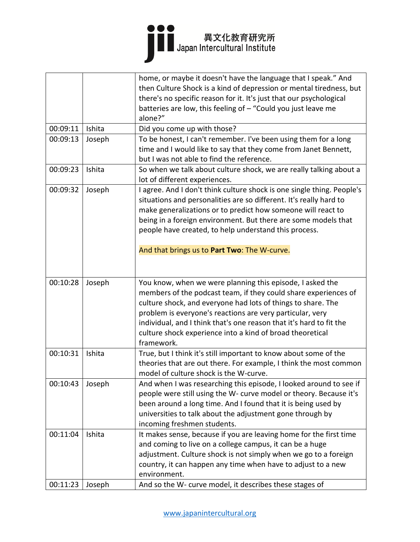

| alone?"<br>00:09:11<br>Ishita<br>Did you come up with those?<br>To be honest, I can't remember. I've been using them for a long<br>00:09:13<br>Joseph<br>time and I would like to say that they come from Janet Bennett,<br>but I was not able to find the reference.<br>00:09:23<br>Ishita<br>lot of different experiences.<br>00:09:32<br>Joseph<br>situations and personalities are so different. It's really hard to<br>make generalizations or to predict how someone will react to<br>being in a foreign environment. But there are some models that<br>people have created, to help understand this process.<br>And that brings us to Part Two: The W-curve.<br>00:10:28<br>Joseph<br>You know, when we were planning this episode, I asked the<br>members of the podcast team, if they could share experiences of<br>culture shock, and everyone had lots of things to share. The<br>problem is everyone's reactions are very particular, very<br>individual, and I think that's one reason that it's hard to fit the<br>culture shock experience into a kind of broad theoretical<br>framework.<br>00:10:31<br>Ishita<br>True, but I think it's still important to know about some of the<br>model of culture shock is the W-curve.<br>00:10:43<br>Joseph<br>been around a long time. And I found that it is being used by<br>universities to talk about the adjustment gone through by<br>incoming freshmen students.<br>00:11:04<br>Ishita<br>It makes sense, because if you are leaving home for the first time<br>and coming to live on a college campus, it can be a huge<br>adjustment. Culture shock is not simply when we go to a foreign<br>country, it can happen any time when have to adjust to a new<br>environment. |  | home, or maybe it doesn't have the language that I speak." And<br>then Culture Shock is a kind of depression or mental tiredness, but<br>there's no specific reason for it. It's just that our psychological<br>batteries are low, this feeling of - "Could you just leave me |
|--------------------------------------------------------------------------------------------------------------------------------------------------------------------------------------------------------------------------------------------------------------------------------------------------------------------------------------------------------------------------------------------------------------------------------------------------------------------------------------------------------------------------------------------------------------------------------------------------------------------------------------------------------------------------------------------------------------------------------------------------------------------------------------------------------------------------------------------------------------------------------------------------------------------------------------------------------------------------------------------------------------------------------------------------------------------------------------------------------------------------------------------------------------------------------------------------------------------------------------------------------------------------------------------------------------------------------------------------------------------------------------------------------------------------------------------------------------------------------------------------------------------------------------------------------------------------------------------------------------------------------------------------------------------------------------------------------------------------------------------|--|-------------------------------------------------------------------------------------------------------------------------------------------------------------------------------------------------------------------------------------------------------------------------------|
|                                                                                                                                                                                                                                                                                                                                                                                                                                                                                                                                                                                                                                                                                                                                                                                                                                                                                                                                                                                                                                                                                                                                                                                                                                                                                                                                                                                                                                                                                                                                                                                                                                                                                                                                            |  |                                                                                                                                                                                                                                                                               |
|                                                                                                                                                                                                                                                                                                                                                                                                                                                                                                                                                                                                                                                                                                                                                                                                                                                                                                                                                                                                                                                                                                                                                                                                                                                                                                                                                                                                                                                                                                                                                                                                                                                                                                                                            |  |                                                                                                                                                                                                                                                                               |
|                                                                                                                                                                                                                                                                                                                                                                                                                                                                                                                                                                                                                                                                                                                                                                                                                                                                                                                                                                                                                                                                                                                                                                                                                                                                                                                                                                                                                                                                                                                                                                                                                                                                                                                                            |  |                                                                                                                                                                                                                                                                               |
|                                                                                                                                                                                                                                                                                                                                                                                                                                                                                                                                                                                                                                                                                                                                                                                                                                                                                                                                                                                                                                                                                                                                                                                                                                                                                                                                                                                                                                                                                                                                                                                                                                                                                                                                            |  | So when we talk about culture shock, we are really talking about a                                                                                                                                                                                                            |
|                                                                                                                                                                                                                                                                                                                                                                                                                                                                                                                                                                                                                                                                                                                                                                                                                                                                                                                                                                                                                                                                                                                                                                                                                                                                                                                                                                                                                                                                                                                                                                                                                                                                                                                                            |  | I agree. And I don't think culture shock is one single thing. People's                                                                                                                                                                                                        |
|                                                                                                                                                                                                                                                                                                                                                                                                                                                                                                                                                                                                                                                                                                                                                                                                                                                                                                                                                                                                                                                                                                                                                                                                                                                                                                                                                                                                                                                                                                                                                                                                                                                                                                                                            |  |                                                                                                                                                                                                                                                                               |
|                                                                                                                                                                                                                                                                                                                                                                                                                                                                                                                                                                                                                                                                                                                                                                                                                                                                                                                                                                                                                                                                                                                                                                                                                                                                                                                                                                                                                                                                                                                                                                                                                                                                                                                                            |  |                                                                                                                                                                                                                                                                               |
|                                                                                                                                                                                                                                                                                                                                                                                                                                                                                                                                                                                                                                                                                                                                                                                                                                                                                                                                                                                                                                                                                                                                                                                                                                                                                                                                                                                                                                                                                                                                                                                                                                                                                                                                            |  | theories that are out there. For example, I think the most common                                                                                                                                                                                                             |
|                                                                                                                                                                                                                                                                                                                                                                                                                                                                                                                                                                                                                                                                                                                                                                                                                                                                                                                                                                                                                                                                                                                                                                                                                                                                                                                                                                                                                                                                                                                                                                                                                                                                                                                                            |  | And when I was researching this episode, I looked around to see if<br>people were still using the W- curve model or theory. Because it's                                                                                                                                      |
| And so the W- curve model, it describes these stages of<br>00:11:23<br>Joseph                                                                                                                                                                                                                                                                                                                                                                                                                                                                                                                                                                                                                                                                                                                                                                                                                                                                                                                                                                                                                                                                                                                                                                                                                                                                                                                                                                                                                                                                                                                                                                                                                                                              |  |                                                                                                                                                                                                                                                                               |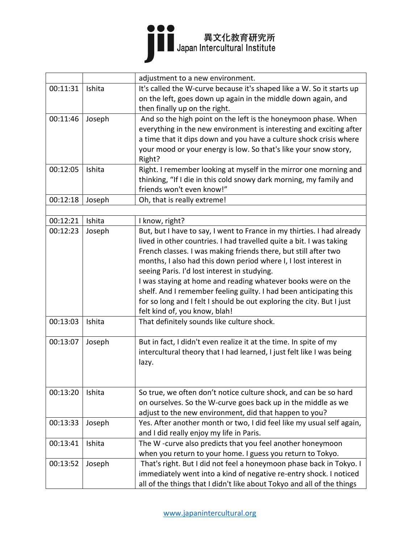

|          |        | adjustment to a new environment.                                       |
|----------|--------|------------------------------------------------------------------------|
| 00:11:31 | Ishita | It's called the W-curve because it's shaped like a W. So it starts up  |
|          |        | on the left, goes down up again in the middle down again, and          |
|          |        | then finally up on the right.                                          |
| 00:11:46 | Joseph | And so the high point on the left is the honeymoon phase. When         |
|          |        | everything in the new environment is interesting and exciting after    |
|          |        | a time that it dips down and you have a culture shock crisis where     |
|          |        | your mood or your energy is low. So that's like your snow story,       |
|          |        | Right?                                                                 |
| 00:12:05 | Ishita | Right. I remember looking at myself in the mirror one morning and      |
|          |        | thinking, "If I die in this cold snowy dark morning, my family and     |
|          |        | friends won't even know!"                                              |
| 00:12:18 | Joseph | Oh, that is really extreme!                                            |
|          |        |                                                                        |
| 00:12:21 | Ishita | I know, right?                                                         |
| 00:12:23 | Joseph | But, but I have to say, I went to France in my thirties. I had already |
|          |        | lived in other countries. I had travelled quite a bit. I was taking    |
|          |        | French classes. I was making friends there, but still after two        |
|          |        | months, I also had this down period where I, I lost interest in        |
|          |        | seeing Paris. I'd lost interest in studying.                           |
|          |        | I was staying at home and reading whatever books were on the           |
|          |        | shelf. And I remember feeling guilty. I had been anticipating this     |
|          |        | for so long and I felt I should be out exploring the city. But I just  |
|          |        | felt kind of, you know, blah!                                          |
| 00:13:03 | Ishita | That definitely sounds like culture shock.                             |
|          |        |                                                                        |
| 00:13:07 | Joseph | But in fact, I didn't even realize it at the time. In spite of my      |
|          |        | intercultural theory that I had learned, I just felt like I was being  |
|          |        | lazy.                                                                  |
|          |        |                                                                        |
|          |        |                                                                        |
| 00:13:20 | Ishita | So true, we often don't notice culture shock, and can be so hard       |
|          |        | on ourselves. So the W-curve goes back up in the middle as we          |
|          |        | adjust to the new environment, did that happen to you?                 |
| 00:13:33 | Joseph | Yes. After another month or two, I did feel like my usual self again,  |
|          |        | and I did really enjoy my life in Paris.                               |
| 00:13:41 | Ishita | The W-curve also predicts that you feel another honeymoon              |
|          |        | when you return to your home. I guess you return to Tokyo.             |
| 00:13:52 | Joseph | That's right. But I did not feel a honeymoon phase back in Tokyo. I    |
|          |        | immediately went into a kind of negative re-entry shock. I noticed     |
|          |        | all of the things that I didn't like about Tokyo and all of the things |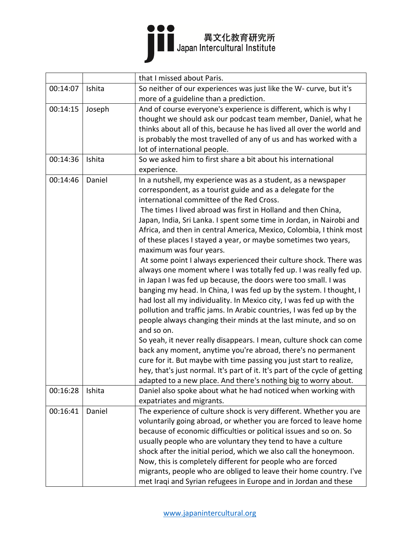

|          |        | that I missed about Paris.                                                  |
|----------|--------|-----------------------------------------------------------------------------|
| 00:14:07 | Ishita | So neither of our experiences was just like the W- curve, but it's          |
|          |        | more of a guideline than a prediction.                                      |
| 00:14:15 | Joseph | And of course everyone's experience is different, which is why I            |
|          |        | thought we should ask our podcast team member, Daniel, what he              |
|          |        | thinks about all of this, because he has lived all over the world and       |
|          |        | is probably the most travelled of any of us and has worked with a           |
|          |        | lot of international people.                                                |
| 00:14:36 | Ishita | So we asked him to first share a bit about his international                |
|          |        | experience.                                                                 |
| 00:14:46 | Daniel | In a nutshell, my experience was as a student, as a newspaper               |
|          |        | correspondent, as a tourist guide and as a delegate for the                 |
|          |        | international committee of the Red Cross.                                   |
|          |        | The times I lived abroad was first in Holland and then China,               |
|          |        | Japan, India, Sri Lanka. I spent some time in Jordan, in Nairobi and        |
|          |        | Africa, and then in central America, Mexico, Colombia, I think most         |
|          |        | of these places I stayed a year, or maybe sometimes two years,              |
|          |        | maximum was four years.                                                     |
|          |        | At some point I always experienced their culture shock. There was           |
|          |        | always one moment where I was totally fed up. I was really fed up.          |
|          |        | in Japan I was fed up because, the doors were too small. I was              |
|          |        | banging my head. In China, I was fed up by the system. I thought, I         |
|          |        | had lost all my individuality. In Mexico city, I was fed up with the        |
|          |        | pollution and traffic jams. In Arabic countries, I was fed up by the        |
|          |        | people always changing their minds at the last minute, and so on            |
|          |        | and so on.                                                                  |
|          |        | So yeah, it never really disappears. I mean, culture shock can come         |
|          |        | back any moment, anytime you're abroad, there's no permanent                |
|          |        | cure for it. But maybe with time passing you just start to realize,         |
|          |        | hey, that's just normal. It's part of it. It's part of the cycle of getting |
|          |        | adapted to a new place. And there's nothing big to worry about.             |
| 00:16:28 | Ishita | Daniel also spoke about what he had noticed when working with               |
|          |        | expatriates and migrants.                                                   |
| 00:16:41 | Daniel | The experience of culture shock is very different. Whether you are          |
|          |        | voluntarily going abroad, or whether you are forced to leave home           |
|          |        | because of economic difficulties or political issues and so on. So          |
|          |        | usually people who are voluntary they tend to have a culture                |
|          |        | shock after the initial period, which we also call the honeymoon.           |
|          |        | Now, this is completely different for people who are forced                 |
|          |        | migrants, people who are obliged to leave their home country. I've          |
|          |        | met Iraqi and Syrian refugees in Europe and in Jordan and these             |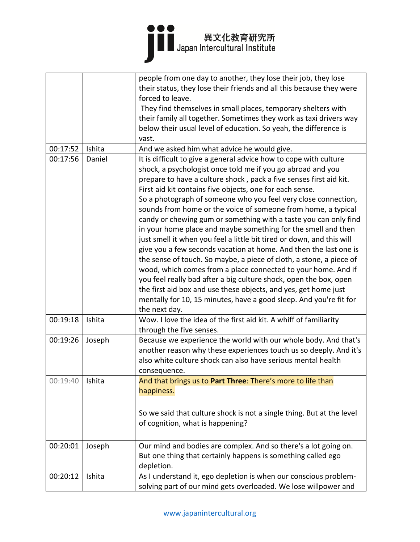|          |        | people from one day to another, they lose their job, they lose        |
|----------|--------|-----------------------------------------------------------------------|
|          |        | their status, they lose their friends and all this because they were  |
|          |        | forced to leave.                                                      |
|          |        | They find themselves in small places, temporary shelters with         |
|          |        | their family all together. Sometimes they work as taxi drivers way    |
|          |        | below their usual level of education. So yeah, the difference is      |
|          |        | vast.                                                                 |
| 00:17:52 | Ishita | And we asked him what advice he would give.                           |
| 00:17:56 | Daniel | It is difficult to give a general advice how to cope with culture     |
|          |        | shock, a psychologist once told me if you go abroad and you           |
|          |        | prepare to have a culture shock, pack a five senses first aid kit.    |
|          |        | First aid kit contains five objects, one for each sense.              |
|          |        | So a photograph of someone who you feel very close connection,        |
|          |        | sounds from home or the voice of someone from home, a typical         |
|          |        | candy or chewing gum or something with a taste you can only find      |
|          |        | in your home place and maybe something for the smell and then         |
|          |        | just smell it when you feel a little bit tired or down, and this will |
|          |        | give you a few seconds vacation at home. And then the last one is     |
|          |        | the sense of touch. So maybe, a piece of cloth, a stone, a piece of   |
|          |        | wood, which comes from a place connected to your home. And if         |
|          |        | you feel really bad after a big culture shock, open the box, open     |
|          |        | the first aid box and use these objects, and yes, get home just       |
|          |        | mentally for 10, 15 minutes, have a good sleep. And you're fit for    |
|          |        | the next day.                                                         |
| 00:19:18 | Ishita | Wow. I love the idea of the first aid kit. A whiff of familiarity     |
|          |        | through the five senses.                                              |
| 00:19:26 | Joseph | Because we experience the world with our whole body. And that's       |
|          |        | another reason why these experiences touch us so deeply. And it's     |
|          |        | also white culture shock can also have serious mental health          |
|          |        | consequence.                                                          |
| 00:19:40 | Ishita | And that brings us to Part Three: There's more to life than           |
|          |        | happiness.                                                            |
|          |        |                                                                       |
|          |        |                                                                       |
|          |        | So we said that culture shock is not a single thing. But at the level |
|          |        | of cognition, what is happening?                                      |
|          |        |                                                                       |
| 00:20:01 | Joseph | Our mind and bodies are complex. And so there's a lot going on.       |
|          |        | But one thing that certainly happens is something called ego          |
|          |        | depletion.                                                            |
| 00:20:12 | Ishita | As I understand it, ego depletion is when our conscious problem-      |
|          |        | solving part of our mind gets overloaded. We lose willpower and       |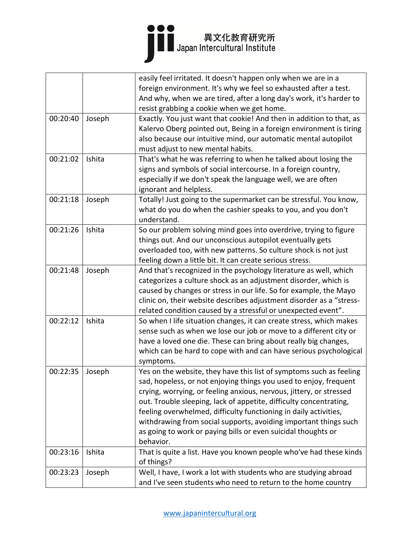|          |        | easily feel irritated. It doesn't happen only when we are in a                   |
|----------|--------|----------------------------------------------------------------------------------|
|          |        | foreign environment. It's why we feel so exhausted after a test.                 |
|          |        | And why, when we are tired, after a long day's work, it's harder to              |
|          |        | resist grabbing a cookie when we get home.                                       |
| 00:20:40 | Joseph | Exactly. You just want that cookie! And then in addition to that, as             |
|          |        | Kalervo Oberg pointed out, Being in a foreign environment is tiring              |
|          |        | also because our intuitive mind, our automatic mental autopilot                  |
|          |        | must adjust to new mental habits.                                                |
| 00:21:02 | Ishita | That's what he was referring to when he talked about losing the                  |
|          |        | signs and symbols of social intercourse. In a foreign country,                   |
|          |        | especially if we don't speak the language well, we are often                     |
|          |        | ignorant and helpless.                                                           |
| 00:21:18 | Joseph | Totally! Just going to the supermarket can be stressful. You know,               |
|          |        | what do you do when the cashier speaks to you, and you don't                     |
|          |        | understand.                                                                      |
| 00:21:26 | Ishita | So our problem solving mind goes into overdrive, trying to figure                |
|          |        | things out. And our unconscious autopilot eventually gets                        |
|          |        | overloaded too, with new patterns. So culture shock is not just                  |
|          |        | feeling down a little bit. It can create serious stress.                         |
| 00:21:48 | Joseph | And that's recognized in the psychology literature as well, which                |
|          |        | categorizes a culture shock as an adjustment disorder, which is                  |
|          |        | caused by changes or stress in our life. So for example, the Mayo                |
|          |        | clinic on, their website describes adjustment disorder as a "stress-             |
|          |        | related condition caused by a stressful or unexpected event".                    |
| 00:22:12 | Ishita | So when I life situation changes, it can create stress, which makes              |
|          |        | sense such as when we lose our job or move to a different city or                |
|          |        | have a loved one die. These can bring about really big changes,                  |
|          |        | which can be hard to cope with and can have serious psychological                |
|          |        | symptoms.                                                                        |
| 00:22:35 | Joseph | Yes on the website, they have this list of symptoms such as feeling              |
|          |        | sad, hopeless, or not enjoying things you used to enjoy, frequent                |
|          |        | crying, worrying, or feeling anxious, nervous, jittery, or stressed              |
|          |        | out. Trouble sleeping, lack of appetite, difficulty concentrating,               |
|          |        | feeling overwhelmed, difficulty functioning in daily activities,                 |
|          |        | withdrawing from social supports, avoiding important things such                 |
|          |        |                                                                                  |
|          |        | as going to work or paying bills or even suicidal thoughts or<br>behavior.       |
| 00:23:16 |        |                                                                                  |
|          | Ishita | That is quite a list. Have you known people who've had these kinds<br>of things? |
|          |        |                                                                                  |
| 00:23:23 | Joseph | Well, I have, I work a lot with students who are studying abroad                 |
|          |        | and I've seen students who need to return to the home country                    |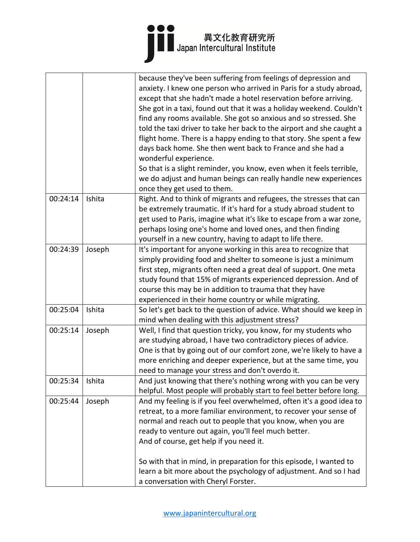|          |        | because they've been suffering from feelings of depression and<br>anxiety. I knew one person who arrived in Paris for a study abroad,<br>except that she hadn't made a hotel reservation before arriving.<br>She got in a taxi, found out that it was a holiday weekend. Couldn't<br>find any rooms available. She got so anxious and so stressed. She<br>told the taxi driver to take her back to the airport and she caught a<br>flight home. There is a happy ending to that story. She spent a few<br>days back home. She then went back to France and she had a<br>wonderful experience.<br>So that is a slight reminder, you know, even when it feels terrible,<br>we do adjust and human beings can really handle new experiences<br>once they get used to them. |
|----------|--------|-------------------------------------------------------------------------------------------------------------------------------------------------------------------------------------------------------------------------------------------------------------------------------------------------------------------------------------------------------------------------------------------------------------------------------------------------------------------------------------------------------------------------------------------------------------------------------------------------------------------------------------------------------------------------------------------------------------------------------------------------------------------------|
| 00:24:14 | Ishita | Right. And to think of migrants and refugees, the stresses that can<br>be extremely traumatic. If it's hard for a study abroad student to<br>get used to Paris, imagine what it's like to escape from a war zone,<br>perhaps losing one's home and loved ones, and then finding<br>yourself in a new country, having to adapt to life there.                                                                                                                                                                                                                                                                                                                                                                                                                            |
| 00:24:39 | Joseph | It's important for anyone working in this area to recognize that<br>simply providing food and shelter to someone is just a minimum<br>first step, migrants often need a great deal of support. One meta<br>study found that 15% of migrants experienced depression. And of<br>course this may be in addition to trauma that they have<br>experienced in their home country or while migrating.                                                                                                                                                                                                                                                                                                                                                                          |
| 00:25:04 | Ishita | So let's get back to the question of advice. What should we keep in<br>mind when dealing with this adjustment stress?                                                                                                                                                                                                                                                                                                                                                                                                                                                                                                                                                                                                                                                   |
| 00:25:14 | Joseph | Well, I find that question tricky, you know, for my students who<br>are studying abroad, I have two contradictory pieces of advice.<br>One is that by going out of our comfort zone, we're likely to have a<br>more enriching and deeper experience, but at the same time, you<br>need to manage your stress and don't overdo it.                                                                                                                                                                                                                                                                                                                                                                                                                                       |
| 00:25:34 | Ishita | And just knowing that there's nothing wrong with you can be very<br>helpful. Most people will probably start to feel better before long.                                                                                                                                                                                                                                                                                                                                                                                                                                                                                                                                                                                                                                |
| 00:25:44 | Joseph | And my feeling is if you feel overwhelmed, often it's a good idea to<br>retreat, to a more familiar environment, to recover your sense of<br>normal and reach out to people that you know, when you are<br>ready to venture out again, you'll feel much better.<br>And of course, get help if you need it.<br>So with that in mind, in preparation for this episode, I wanted to<br>learn a bit more about the psychology of adjustment. And so I had<br>a conversation with Cheryl Forster.                                                                                                                                                                                                                                                                            |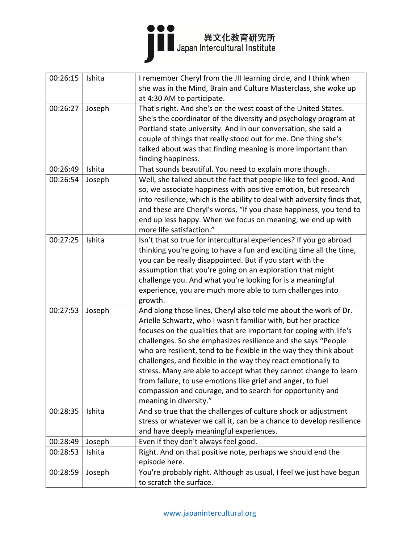| 00:26:15 | Ishita | I remember Cheryl from the JII learning circle, and I think when         |
|----------|--------|--------------------------------------------------------------------------|
|          |        | she was in the Mind, Brain and Culture Masterclass, she woke up          |
|          |        | at 4:30 AM to participate.                                               |
| 00:26:27 | Joseph | That's right. And she's on the west coast of the United States.          |
|          |        | She's the coordinator of the diversity and psychology program at         |
|          |        | Portland state university. And in our conversation, she said a           |
|          |        | couple of things that really stood out for me. One thing she's           |
|          |        | talked about was that finding meaning is more important than             |
|          |        | finding happiness.                                                       |
| 00:26:49 | Ishita | That sounds beautiful. You need to explain more though.                  |
| 00:26:54 | Joseph | Well, she talked about the fact that people like to feel good. And       |
|          |        | so, we associate happiness with positive emotion, but research           |
|          |        | into resilience, which is the ability to deal with adversity finds that, |
|          |        | and these are Cheryl's words, "If you chase happiness, you tend to       |
|          |        | end up less happy. When we focus on meaning, we end up with              |
|          |        | more life satisfaction."                                                 |
| 00:27:25 | Ishita | Isn't that so true for intercultural experiences? If you go abroad       |
|          |        | thinking you're going to have a fun and exciting time all the time,      |
|          |        | you can be really disappointed. But if you start with the                |
|          |        | assumption that you're going on an exploration that might                |
|          |        | challenge you. And what you're looking for is a meaningful               |
|          |        | experience, you are much more able to turn challenges into               |
|          |        | growth.                                                                  |
| 00:27:53 | Joseph | And along those lines, Cheryl also told me about the work of Dr.         |
|          |        | Arielle Schwartz, who I wasn't familiar with, but her practice           |
|          |        | focuses on the qualities that are important for coping with life's       |
|          |        | challenges. So she emphasizes resilience and she says "People            |
|          |        | who are resilient, tend to be flexible in the way they think about       |
|          |        | challenges, and flexible in the way they react emotionally to            |
|          |        | stress. Many are able to accept what they cannot change to learn         |
|          |        | from failure, to use emotions like grief and anger, to fuel              |
|          |        | compassion and courage, and to search for opportunity and                |
|          |        | meaning in diversity."                                                   |
| 00:28:35 | Ishita | And so true that the challenges of culture shock or adjustment           |
|          |        | stress or whatever we call it, can be a chance to develop resilience     |
|          |        | and have deeply meaningful experiences.                                  |
| 00:28:49 | Joseph | Even if they don't always feel good.                                     |
| 00:28:53 | Ishita | Right. And on that positive note, perhaps we should end the              |
|          |        | episode here.                                                            |
| 00:28:59 | Joseph | You're probably right. Although as usual, I feel we just have begun      |
|          |        | to scratch the surface.                                                  |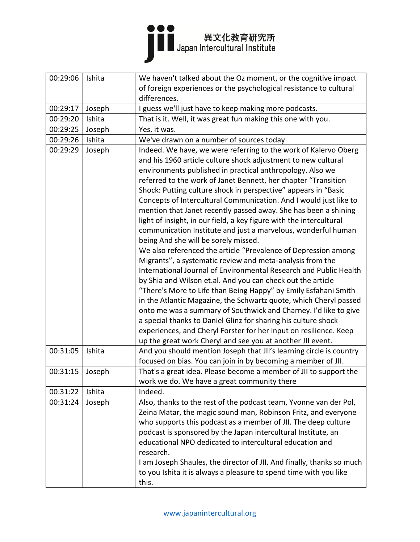#### ●●●<br>■■ Japan Intercultural Institute

| 00:29:06 | Ishita | We haven't talked about the Oz moment, or the cognitive impact        |
|----------|--------|-----------------------------------------------------------------------|
|          |        | of foreign experiences or the psychological resistance to cultural    |
|          |        | differences.                                                          |
| 00:29:17 | Joseph | I guess we'll just have to keep making more podcasts.                 |
| 00:29:20 | Ishita | That is it. Well, it was great fun making this one with you.          |
| 00:29:25 | Joseph | Yes, it was.                                                          |
| 00:29:26 | Ishita | We've drawn on a number of sources today                              |
| 00:29:29 | Joseph | Indeed. We have, we were referring to the work of Kalervo Oberg       |
|          |        | and his 1960 article culture shock adjustment to new cultural         |
|          |        | environments published in practical anthropology. Also we             |
|          |        | referred to the work of Janet Bennett, her chapter "Transition        |
|          |        | Shock: Putting culture shock in perspective" appears in "Basic        |
|          |        | Concepts of Intercultural Communication. And I would just like to     |
|          |        | mention that Janet recently passed away. She has been a shining       |
|          |        | light of insight, in our field, a key figure with the intercultural   |
|          |        | communication Institute and just a marvelous, wonderful human         |
|          |        | being And she will be sorely missed.                                  |
|          |        | We also referenced the article "Prevalence of Depression among        |
|          |        | Migrants", a systematic review and meta-analysis from the             |
|          |        | International Journal of Environmental Research and Public Health     |
|          |        | by Shia and Wilson et.al. And you can check out the article           |
|          |        | "There's More to Life than Being Happy" by Emily Esfahani Smith       |
|          |        | in the Atlantic Magazine, the Schwartz quote, which Cheryl passed     |
|          |        | onto me was a summary of Southwick and Charney. I'd like to give      |
|          |        | a special thanks to Daniel Glinz for sharing his culture shock        |
|          |        | experiences, and Cheryl Forster for her input on resilience. Keep     |
|          |        | up the great work Cheryl and see you at another JII event.            |
| 00:31:05 | Ishita | And you should mention Joseph that JII's learning circle is country   |
|          |        | focused on bias. You can join in by becoming a member of JII.         |
| 00:31:15 | Joseph | That's a great idea. Please become a member of JII to support the     |
|          |        | work we do. We have a great community there                           |
| 00:31:22 | Ishita | Indeed.                                                               |
| 00:31:24 | Joseph | Also, thanks to the rest of the podcast team, Yvonne van der Pol,     |
|          |        | Zeina Matar, the magic sound man, Robinson Fritz, and everyone        |
|          |        | who supports this podcast as a member of JII. The deep culture        |
|          |        | podcast is sponsored by the Japan intercultural Institute, an         |
|          |        | educational NPO dedicated to intercultural education and              |
|          |        | research.                                                             |
|          |        | I am Joseph Shaules, the director of JII. And finally, thanks so much |
|          |        | to you Ishita it is always a pleasure to spend time with you like     |
|          |        | this.                                                                 |